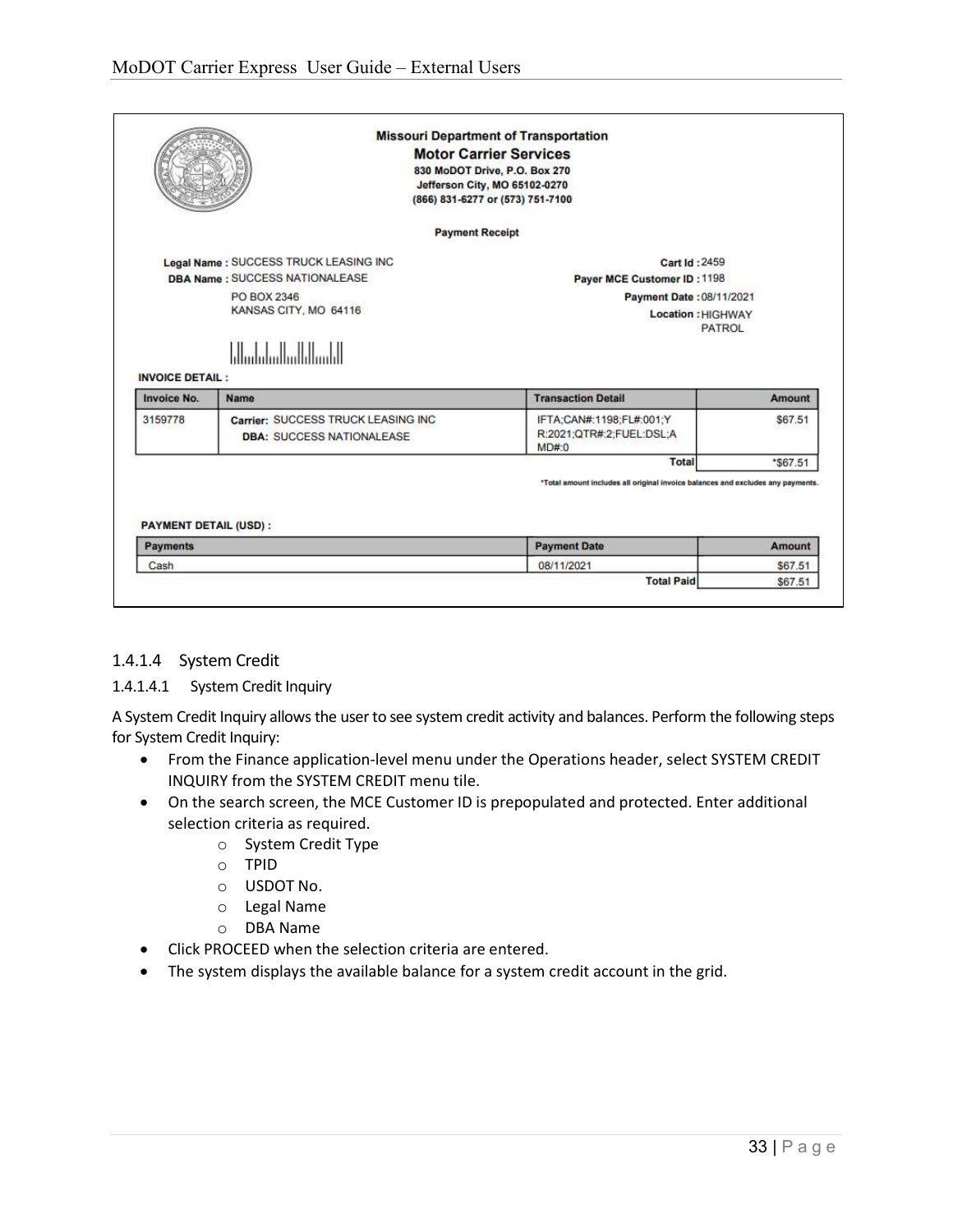|                                                                                                                                                                     |                                                                         | <b>Missouri Department of Transportation</b><br><b>Motor Carrier Services</b><br>830 MoDOT Drive, P.O. Box 270<br>Jefferson City, MO 65102-0270<br>(866) 831-6277 or (573) 751-7100 |                                                           |  |
|---------------------------------------------------------------------------------------------------------------------------------------------------------------------|-------------------------------------------------------------------------|-------------------------------------------------------------------------------------------------------------------------------------------------------------------------------------|-----------------------------------------------------------|--|
|                                                                                                                                                                     |                                                                         | <b>Payment Receipt</b>                                                                                                                                                              |                                                           |  |
| Legal Name : SUCCESS TRUCK LEASING INC<br><b>DBA Name: SUCCESS NATIONALEASE</b><br>PO BOX 2346<br>KANSAS CITY, MO 64116<br>եկտեփակակվայիկ<br><b>INVOICE DETAIL:</b> |                                                                         | Cart Id: 2459<br>Payer MCE Customer ID: 1198<br>Payment Date: 08/11/2021<br>Location: HIGHWAY<br><b>PATROL</b>                                                                      |                                                           |  |
|                                                                                                                                                                     |                                                                         |                                                                                                                                                                                     |                                                           |  |
|                                                                                                                                                                     | <b>Name</b>                                                             | <b>Transaction Detail</b>                                                                                                                                                           |                                                           |  |
| Invoice No.<br>3159778                                                                                                                                              | Carrier: SUCCESS TRUCK LEASING INC.<br><b>DBA: SUCCESS NATIONALEASE</b> | IFTA;CAN#:1198;FL#:001;Y<br>R:2021;QTR#:2;FUEL:DSL;A<br>MD#0                                                                                                                        |                                                           |  |
|                                                                                                                                                                     |                                                                         | <b>Total</b>                                                                                                                                                                        |                                                           |  |
| <b>PAYMENT DETAIL (USD):</b><br><b>Payments</b>                                                                                                                     |                                                                         | *Total amount includes all original invoice balances and excludes any payments.<br><b>Payment Date</b>                                                                              |                                                           |  |
| Cash                                                                                                                                                                |                                                                         | 08/11/2021                                                                                                                                                                          | <b>Amount</b><br>\$67.51<br>*\$67.51<br>Amount<br>\$67.51 |  |

## 1.4.1.4 System Credit

## 1.4.1.4.1 System Credit Inquiry

A System Credit Inquiry allows the user to see system credit activity and balances. Perform the following steps for System Credit Inquiry:

- From the Finance application-level menu under the Operations header, select SYSTEM CREDIT INQUIRY from the SYSTEM CREDIT menu tile.
- On the search screen, the MCE Customer ID is prepopulated and protected. Enter additional selection criteria as required.
	- o System Credit Type
	- o TPID
	- o USDOT No.
	- o Legal Name
	- o DBA Name
- Click PROCEED when the selection criteria are entered.
- The system displays the available balance for a system credit account in the grid.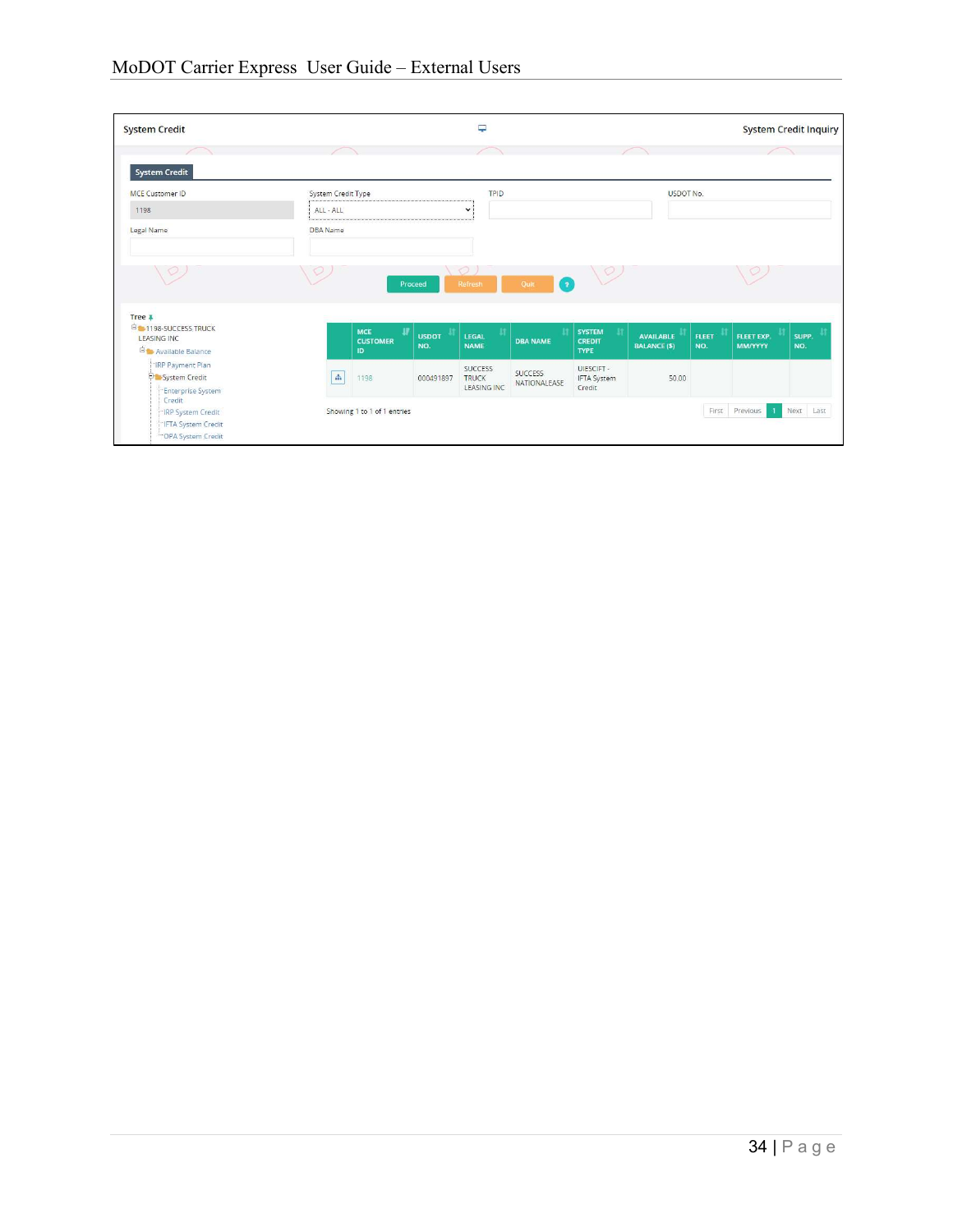| <b>System Credit</b>                                                                     |                              |                     | Ç                                             |                                |                                               |                                         |                     |                                | <b>System Credit Inquiry</b> |
|------------------------------------------------------------------------------------------|------------------------------|---------------------|-----------------------------------------------|--------------------------------|-----------------------------------------------|-----------------------------------------|---------------------|--------------------------------|------------------------------|
|                                                                                          |                              |                     |                                               |                                |                                               |                                         |                     |                                |                              |
| <b>System Credit</b><br><b>MCE Customer ID</b>                                           | System Credit Type           |                     | <b>TPID</b>                                   |                                |                                               | USDOT No.                               |                     |                                |                              |
| 1198                                                                                     | ALL - ALL                    |                     | $\checkmark$                                  |                                |                                               |                                         |                     |                                |                              |
| Legal Name                                                                               | DBA Name                     |                     |                                               |                                |                                               |                                         |                     |                                |                              |
|                                                                                          |                              | Proceed             | $\circ$<br>Refresh                            | $\bullet$<br>Quit              | $\sqrt{2}$                                    |                                         |                     |                                |                              |
| Tree <sub>4</sub><br><b>EHAI198-SUCCESS TRUCK</b><br>LEASING INC<br>El Available Balance | MCE<br><b>CUSTOMER</b><br>ID | <b>USDOT</b><br>NO. | LEGAL<br><b>NAME</b>                          | <b>DBA NAME</b>                | <b>SYSTEM</b><br><b>CREDIT</b><br><b>TYPE</b> | <b>AVAILABLE</b><br><b>BALANCE (\$)</b> | <b>FLEET</b><br>NO. | FLEET EXP.<br><b>MM/YYYY</b>   | SUPP.<br>NO.                 |
| -IRP Payment Plan<br>System Credit<br>Enterprise System                                  | $\Delta$<br>1198             | 000491897           | SUCCESS<br><b>TRUCK</b><br><b>LEASING INC</b> | <b>SUCCESS</b><br>NATIONALEASE | UIESCIFT-<br><b>IFTA System</b><br>Credit     | 50.00                                   |                     |                                |                              |
| Credit<br><b>IRP System Credit</b><br>"IFTA System Credit<br>OPA System Credit           | Showing 1 to 1 of 1 entries  |                     |                                               |                                |                                               |                                         |                     | First Previous<br>$\mathbf{1}$ | Next Last                    |